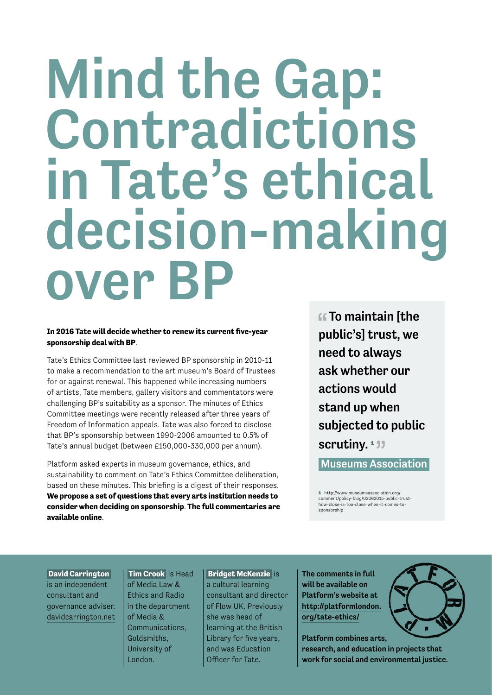# Mind the Gap: Contradictions in Tate's ethical decision-making over BP

#### **In 2016 Tate will decide whether to renew its current five-year sponsorship deal with BP**.

Tate's Ethics Committee last reviewed BP sponsorship in 2010-11 to make a recommendation to the art museum's Board of Trustees for or against renewal. This happened while increasing numbers of artists, Tate members, gallery visitors and commentators were challenging BP's suitability as a sponsor. The minutes of Ethics Committee meetings were recently released after three years of Freedom of Information appeals. Tate was also forced to disclose that BP's sponsorship between 1990-2006 amounted to 0.5% of Tate's annual budget (between £150,000-330,000 per annum).

Platform asked experts in museum governance, ethics, and sustainability to comment on Tate's Ethics Committee deliberation, based on these minutes. This briefing is a digest of their responses. **We propose a set of questions that every arts institution needs to consider when deciding on sponsorship**. **The full commentaries are available online**.

**ff** To maintain [the public's] trust, we need to always ask whether our actions would stand up when subjected to public scrutiny.<sup>1</sup><sup>1</sup>

Museums Association

1 http://www.museumsassociation.org/ comment/policy-blog/02062015-public-trusthow-close-is-too-close-when-it-comes-tosponsorship

 **David Carrington**  is an independent consultant and governance adviser. davidcarrington.net

 **Tim Crook** is Head of Media Law & Ethics and Radio in the department of Media & Communications, Goldsmiths, University of London.

 **Bridget McKenzie** is a cultural learning consultant and director of Flow UK. Previously she was head of learning at the British Library for five years, and was Education Officer for Tate.

The comments in full will be available on Platform's website at http://platformlondon. org/tate-ethics/



Platform combines arts, research, and education in projects that work for social and environmental justice.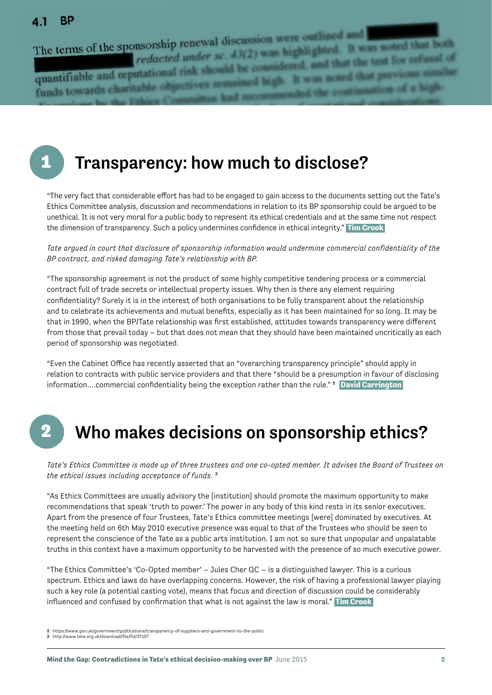#### **BP**  $\mathbf{A}$  1

The terms of the sponsorship renewal discussion were outlined and redacted under sc. 43(2) was highlighted. It was noted that both<br>redacted under sc. 43(2) was highlighted. It was noted that both quantifiable and reputational risk should be considered, and that the test for refusal funds towards charitable

## 1

# Transparency: how much to disclose?

"The very fact that considerable efort has had to be engaged to gain access to the documents setting out the Tate's Ethics Committee analysis, discussion and recommendations in relation to its BP sponsorship could be argued to be unethical. It is not very moral for a public body to represent its ethical credentials and at the same time not respect the dimension of transparency. Such a policy undermines conidence in ethical integrity." **Tim Crook** 

*Tate argued in court that disclosure of sponsorship information would undermine commercial confidentiality of the BP contract, and risked damaging Tate's relationship with BP.*

"The sponsorship agreement is not the product of some highly competitive tendering process or a commercial contract full of trade secrets or intellectual property issues. Why then is there any element requiring confidentiality? Surely it is in the interest of both organisations to be fully transparent about the relationship and to celebrate its achievements and mutual benefits, especially as it has been maintained for so long. It may be that in 1990, when the BP/Tate relationship was first established, attitudes towards transparency were different from those that prevail today – but that does not mean that they should have been maintained uncritically as each period of sponsorship was negotiated.

"Even the Cabinet Office has recently asserted that an "overarching transparency principle" should apply in relation to contracts with public service providers and that there "should be a presumption in favour of disclosing information....commercial confidentiality being the exception rather than the rule." <sup>2</sup> David Carrington

# 2

# Who makes decisions on sponsorship ethics?

*Tate's Ethics Committee is made up of three trustees and one co-opted member. It advises the Board of Trustees on the ethical issues including acceptance of funds.* <sup>3</sup>

"As Ethics Committees are usually advisory the [institution] should promote the maximum opportunity to make recommendations that speak 'truth to power.' The power in any body of this kind rests in its senior executives. Apart from the presence of four Trustees, Tate's Ethics committee meetings [were] dominated by executives. At the meeting held on 6th May 2010 executive presence was equal to that of the Trustees who should be seen to represent the conscience of the Tate as a public arts institution. I am not so sure that unpopular and unpalatable truths in this context have a maximum opportunity to be harvested with the presence of so much executive power.

"The Ethics Committee's 'Co-Opted member' – Jules Cher QC – is a distinguished lawyer. This is a curious spectrum. Ethics and laws do have overlapping concerns. However, the risk of having a professional lawyer playing such a key role (a potential casting vote), means that focus and direction of discussion could be considerably influenced and confused by confirmation that what is not against the law is moral." **Tim Crook** 

2 https://www.gov.uk/government/publications/transparency-of-suppliers-and-government-to-the-public

<sup>3</sup> http://www.tate.org.uk/download/file/fid/37157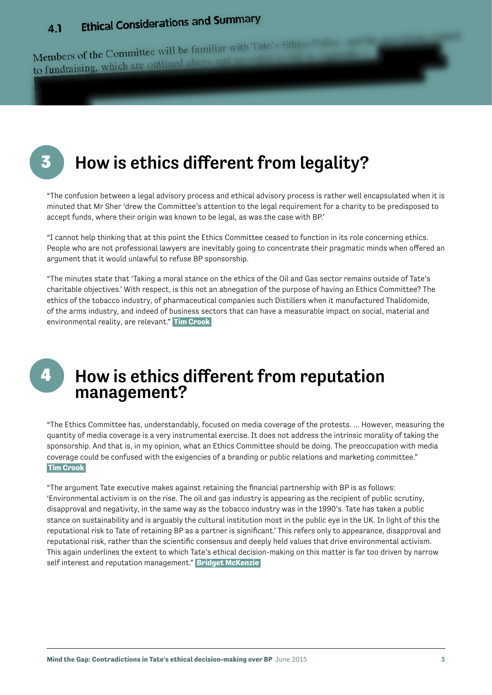### **Ethical Considerations and Summary**  $4.1$

Members of the Committee will be familiar with Tate's Members of the Committee Mark

3

# How is ethics different from legality?

"The confusion between a legal advisory process and ethical advisory process is rather well encapsulated when it is minuted that Mr Sher 'drew the Committee's attention to the legal requirement for a charity to be predisposed to accept funds, where their origin was known to be legal, as was the case with BP.'

"I cannot help thinking that at this point the Ethics Committee ceased to function in its role concerning ethics. People who are not professional lawyers are inevitably going to concentrate their pragmatic minds when ofered an argument that it would unlawful to refuse BP sponsorship.

"The minutes state that 'Taking a moral stance on the ethics of the Oil and Gas sector remains outside of Tate's charitable objectives.' With respect, is this not an abnegation of the purpose of having an Ethics Committee? The ethics of the tobacco industry, of pharmaceutical companies such Distillers when it manufactured Thalidomide, of the arms industry, and indeed of business sectors that can have a measurable impact on social, material and environmental reality, are relevant." **Tim Crook** 

4

### How is ethics different from reputation management?

"The Ethics Committee has, understandably, focused on media coverage of the protests. ... However, measuring the quantity of media coverage is a very instrumental exercise. It does not address the intrinsic morality of taking the sponsorship. And that is, in my opinion, what an Ethics Committee should be doing. The preoccupation with media coverage could be confused with the exigencies of a branding or public relations and marketing committee."  **Tim Crook** 

"The argument Tate executive makes against retaining the financial partnership with BP is as follows: 'Environmental activism is on the rise. The oil and gas industry is appearing as the recipient of public scrutiny, disapproval and negativity, in the same way as the tobacco industry was in the 1990's. Tate has taken a public stance on sustainability and is arguably the cultural institution most in the public eye in the UK. In light of this the reputational risk to Tate of retaining BP as a partner is significant.' This refers only to appearance, disapproval and reputational risk, rather than the scientific consensus and deeply held values that drive environmental activism. This again underlines the extent to which Tate's ethical decision-making on this matter is far too driven by narrow self interest and reputation management." **Bridget McKenzie**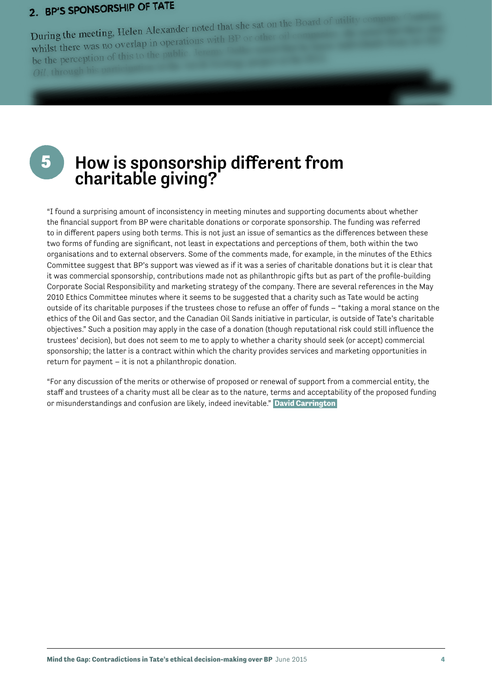### 2. BP'S SPONSORSHIP OF TATE

During the meeting, Helen Alexander noted that she sat on the Board<br>contact the meeting of the properations with BP or other oil During the meeting, Helen Alexander hotel<br>whilst there was no overlap in operations with BP or other whilst there was no overally

# 5 How is sponsorship different from charitable giving?

"I found a surprising amount of inconsistency in meeting minutes and supporting documents about whether the financial support from BP were charitable donations or corporate sponsorship. The funding was referred to in diferent papers using both terms. This is not just an issue of semantics as the diferences between these two forms of funding are significant, not least in expectations and perceptions of them, both within the two organisations and to external observers. Some of the comments made, for example, in the minutes of the Ethics Committee suggest that BP's support was viewed as if it was a series of charitable donations but it is clear that it was commercial sponsorship, contributions made not as philanthropic gifts but as part of the profile-building Corporate Social Responsibility and marketing strategy of the company. There are several references in the May 2010 Ethics Committee minutes where it seems to be suggested that a charity such as Tate would be acting outside of its charitable purposes if the trustees chose to refuse an offer of funds – "taking a moral stance on the ethics of the Oil and Gas sector, and the Canadian Oil Sands initiative in particular, is outside of Tate's charitable objectives." Such a position may apply in the case of a donation (though reputational risk could still influence the trustees' decision), but does not seem to me to apply to whether a charity should seek (or accept) commercial sponsorship; the latter is a contract within which the charity provides services and marketing opportunities in return for payment – it is not a philanthropic donation.

"For any discussion of the merits or otherwise of proposed or renewal of support from a commercial entity, the staff and trustees of a charity must all be clear as to the nature, terms and acceptability of the proposed funding or misunderstandings and confusion are likely, indeed inevitable." **David Carrington**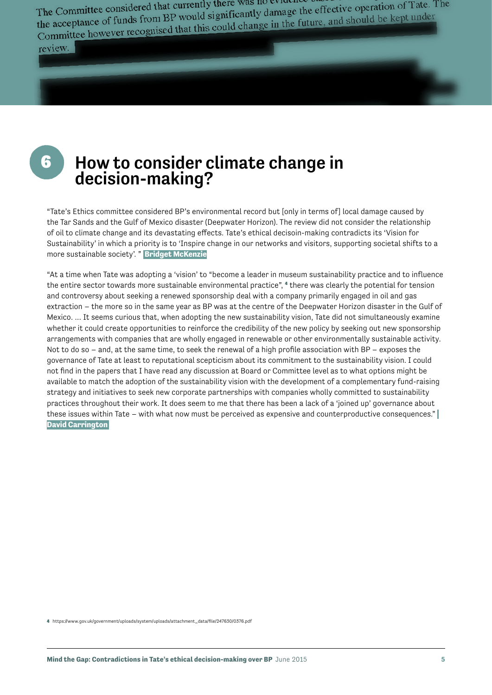The Committee considered that currently there was no evidence of The Committee considered that currently there was no evidence based of the acceptance of funds from BP would significantly damage the effective operation of Tate. The the acceptance of funds from BP would significantly dam The Committee considered that early distinctly damage the effective operation of Factor<br>the acceptance of funds from BP would significantly damage the effective operation of Factor<br>Committee however recognised that this co

review.

6

### How to consider climate change in decision-making?

"Tate's Ethics committee considered BP's environmental record but [only in terms of] local damage caused by the Tar Sands and the Gulf of Mexico disaster (Deepwater Horizon). The review did not consider the relationship of oil to climate change and its devastating efects. Tate's ethical decisoin-making contradicts its 'Vision for Sustainability' in which a priority is to 'Inspire change in our networks and visitors, supporting societal shifts to a more sustainable society'. " **Bridget McKenzie**

"At a time when Tate was adopting a 'vision' to "become a leader in museum sustainability practice and to influence the entire sector towards more sustainable environmental practice", <sup>4</sup> there was clearly the potential for tension and controversy about seeking a renewed sponsorship deal with a company primarily engaged in oil and gas extraction – the more so in the same year as BP was at the centre of the Deepwater Horizon disaster in the Gulf of Mexico. … It seems curious that, when adopting the new sustainability vision, Tate did not simultaneously examine whether it could create opportunities to reinforce the credibility of the new policy by seeking out new sponsorship arrangements with companies that are wholly engaged in renewable or other environmentally sustainable activity. Not to do so – and, at the same time, to seek the renewal of a high profile association with  $BP -$  exposes the governance of Tate at least to reputational scepticism about its commitment to the sustainability vision. I could not find in the papers that I have read any discussion at Board or Committee level as to what options might be available to match the adoption of the sustainability vision with the development of a complementary fund-raising strategy and initiatives to seek new corporate partnerships with companies wholly committed to sustainability practices throughout their work. It does seem to me that there has been a lack of a 'joined up' governance about these issues within Tate – with what now must be perceived as expensive and counterproductive consequences." **David Carrington** 

4 https://www.gov.uk/government/uploads/system/uploads/attachment\_data/file/247630/0376.pdf